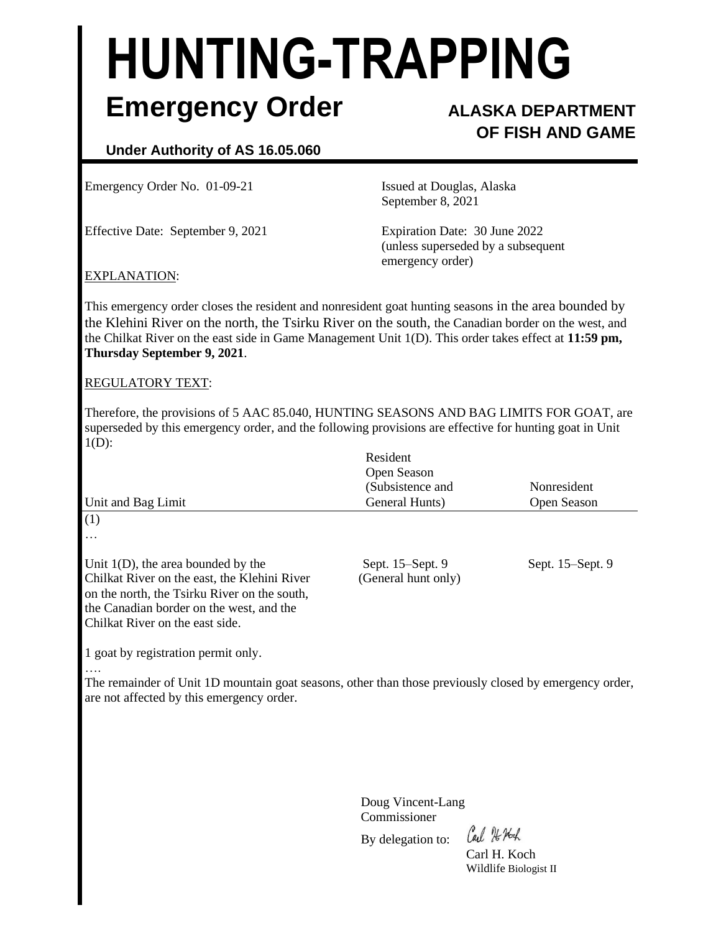# **HUNTING-TRAPPING Emergency Order ALASKA DEPARTMENT**

## **OF FISH AND GAME**

### **Under Authority of AS 16.05.060**

Emergency Order No. 01-09-21 Issued at Douglas, Alaska

Effective Date: September 9, 2021 Expiration Date: 30 June 2022

September 8, 2021

(unless superseded by a subsequent emergency order)

#### EXPLANATION:

This emergency order closes the resident and nonresident goat hunting seasons in the area bounded by the Klehini River on the north, the Tsirku River on the south, the Canadian border on the west, and the Chilkat River on the east side in Game Management Unit 1(D). This order takes effect at **11:59 pm, Thursday September 9, 2021**.

#### REGULATORY TEXT:

Therefore, the provisions of 5 AAC 85.040, HUNTING SEASONS AND BAG LIMITS FOR GOAT, are superseded by this emergency order, and the following provisions are effective for hunting goat in Unit  $1(D)$ :

| Unit and Bag Limit                                                                                                                                                                                                   | Resident<br>Open Season<br>(Subsistence and<br>General Hunts) | Nonresident<br>Open Season |
|----------------------------------------------------------------------------------------------------------------------------------------------------------------------------------------------------------------------|---------------------------------------------------------------|----------------------------|
| (1)<br>$\cdots$                                                                                                                                                                                                      |                                                               |                            |
| Unit $1(D)$ , the area bounded by the<br>Chilkat River on the east, the Klehini River<br>on the north, the Tsirku River on the south,<br>the Canadian border on the west, and the<br>Chilkat River on the east side. | Sept. 15–Sept. 9<br>(General hunt only)                       | Sept. 15–Sept. 9           |

1 goat by registration permit only.

….

The remainder of Unit 1D mountain goat seasons, other than those previously closed by emergency order, are not affected by this emergency order.

> Doug Vincent-Lang Commissioner

By delegation to:

Cal He Noch

Carl H. Koch Wildlife Biologist II